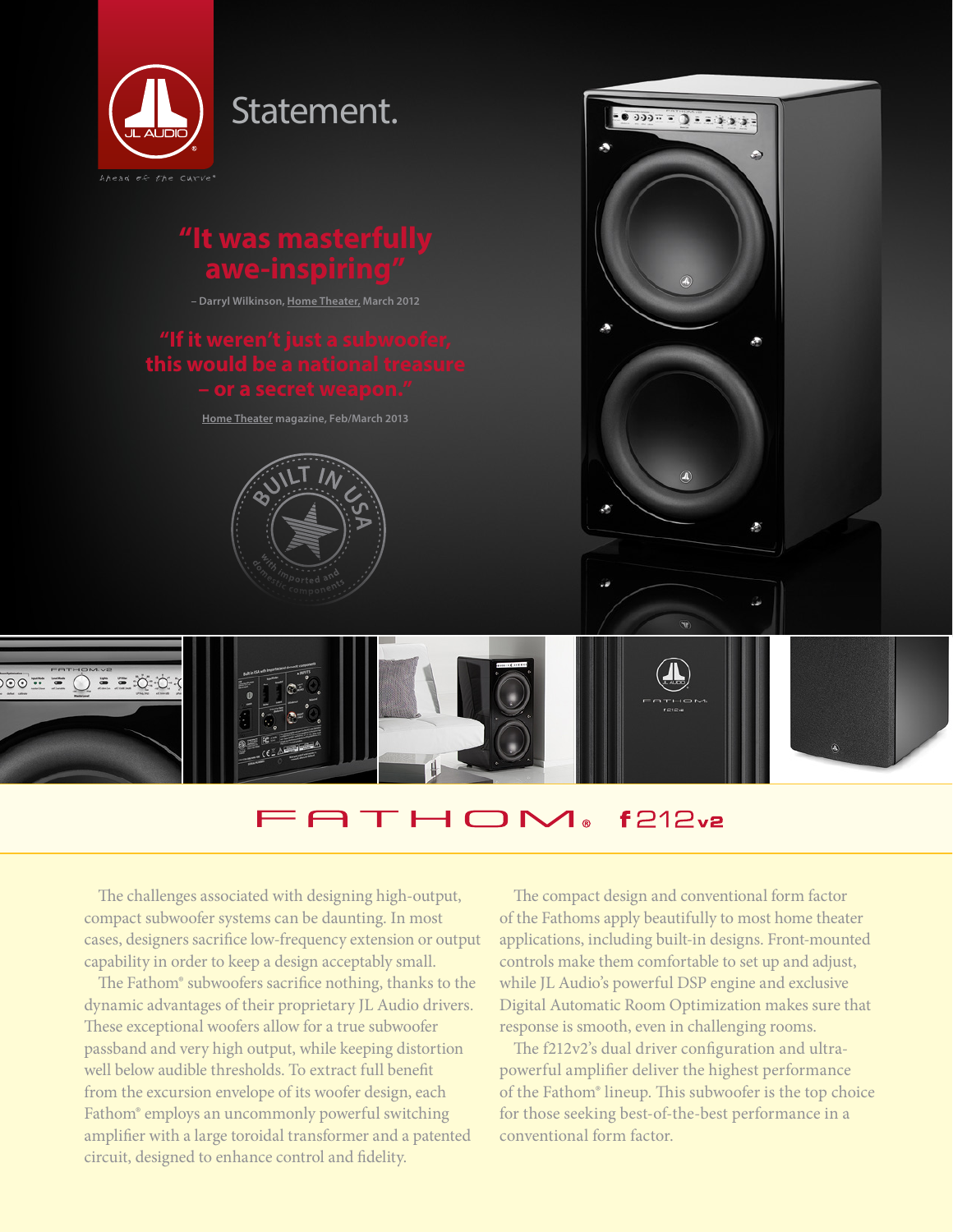

## **ATHOM**  $f212v2$

The challenges associated with designing high-output, compact subwoofer systems can be daunting. In most cases, designers sacrifice low-frequency extension or output capability in order to keep a design acceptably small.

The Fathom® subwoofers sacrifice nothing, thanks to the dynamic advantages of their proprietary JL Audio drivers. These exceptional woofers allow for a true subwoofer passband and very high output, while keeping distortion well below audible thresholds. To extract full benefit from the excursion envelope of its woofer design, each Fathom® employs an uncommonly powerful switching amplifier with a large toroidal transformer and a patented circuit, designed to enhance control and fidelity.

The compact design and conventional form factor of the Fathoms apply beautifully to most home theater applications, including built-in designs. Front-mounted controls make them comfortable to set up and adjust, while JL Audio's powerful DSP engine and exclusive Digital Automatic Room Optimization makes sure that response is smooth, even in challenging rooms.

The f212v2's dual driver configuration and ultrapowerful amplifier deliver the highest performance of the Fathom® lineup. This subwoofer is the top choice for those seeking best-of-the-best performance in a conventional form factor.